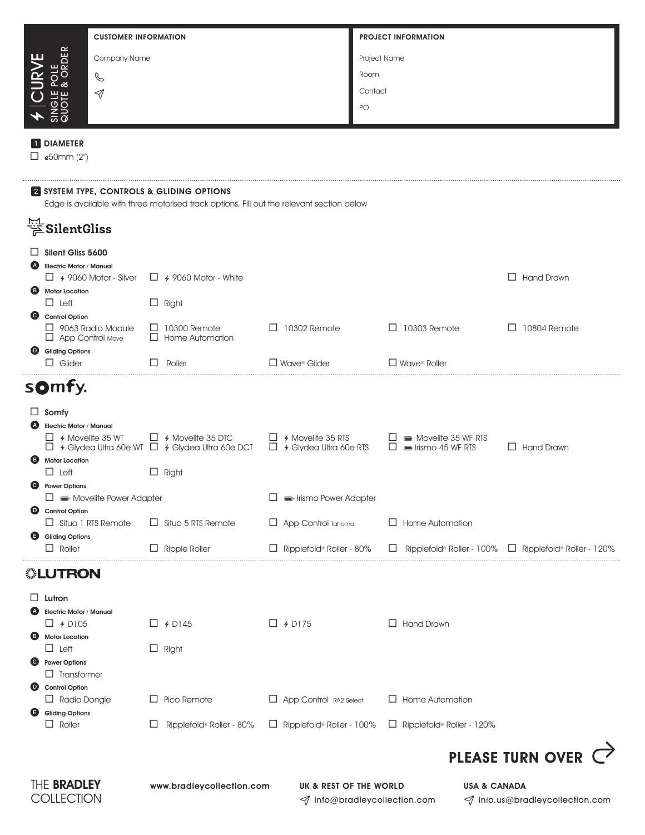| <b>CUSTOMER INFORMATION</b>                                                               |                                                                                        |                                                           | <b>PROJECT INFORMATION</b>                                                 |                                                            |  |  |  |  |  |
|-------------------------------------------------------------------------------------------|----------------------------------------------------------------------------------------|-----------------------------------------------------------|----------------------------------------------------------------------------|------------------------------------------------------------|--|--|--|--|--|
| Company Name                                                                              |                                                                                        |                                                           | Project Name                                                               |                                                            |  |  |  |  |  |
| POLE<br>& ORDER                                                                           |                                                                                        |                                                           | Room                                                                       |                                                            |  |  |  |  |  |
| C<br>$\triangleleft$                                                                      |                                                                                        |                                                           | Contact                                                                    |                                                            |  |  |  |  |  |
| SINGLE I                                                                                  |                                                                                        |                                                           | PO                                                                         |                                                            |  |  |  |  |  |
|                                                                                           |                                                                                        |                                                           |                                                                            |                                                            |  |  |  |  |  |
| <b>DIAMETER</b>                                                                           |                                                                                        |                                                           |                                                                            |                                                            |  |  |  |  |  |
| $\Box$ ø50mm (2")                                                                         |                                                                                        |                                                           |                                                                            |                                                            |  |  |  |  |  |
| 2 SYSTEM TYPE, CONTROLS & GLIDING OPTIONS                                                 |                                                                                        |                                                           |                                                                            |                                                            |  |  |  |  |  |
| Edge is available with three motorised track options, Fill out the relevant section below |                                                                                        |                                                           |                                                                            |                                                            |  |  |  |  |  |
| $\stackrel{\text{\tiny{I}\!\!:\!\!}}{\not\cong}$ SilentGliss                              |                                                                                        |                                                           |                                                                            |                                                            |  |  |  |  |  |
| Silent Gliss 5600                                                                         |                                                                                        |                                                           |                                                                            |                                                            |  |  |  |  |  |
| <b>Electric Motor / Manual</b><br>(A)<br>$\Box$ 4 9060 Motor - Silver                     | $\Box$ 4 9060 Motor - White                                                            |                                                           |                                                                            | <b>Hand Drawn</b><br>$\Box$                                |  |  |  |  |  |
| <b>B</b> Motor Location                                                                   |                                                                                        |                                                           |                                                                            |                                                            |  |  |  |  |  |
| $\Box$ Left                                                                               | $\Box$ Right                                                                           |                                                           |                                                                            |                                                            |  |  |  |  |  |
| Control Option<br>$\Box$ 9063 Radio Module                                                | $\Box$ 10300 Remote                                                                    | $\Box$ 10302 Remote                                       | $\Box$ 10303 Remote                                                        | 10804 Remote<br>$\Box$                                     |  |  |  |  |  |
| $\Box$ App Control Move<br><b>Gliding Options</b><br>$\bullet$                            | $\Box$ Home Automation                                                                 |                                                           |                                                                            |                                                            |  |  |  |  |  |
| $\Box$ Glider                                                                             | Roller                                                                                 | $\Box$ Wave® Glider                                       | $\square$ Wave <sup>®</sup> Roller                                         |                                                            |  |  |  |  |  |
| somfy.                                                                                    |                                                                                        |                                                           |                                                                            |                                                            |  |  |  |  |  |
| $\Box$ Somfy                                                                              |                                                                                        |                                                           |                                                                            |                                                            |  |  |  |  |  |
| <b>Electric Motor / Manual</b>                                                            |                                                                                        |                                                           |                                                                            |                                                            |  |  |  |  |  |
| $\Box$ 4 Movelite 35 WT                                                                   | $\Box$ 4 Movelite 35 DTC<br>$\Box$ 4 Glydea Ultra 60e WT $\Box$ 4 Glydea Ultra 60e DCT | $\Box$ 4 Movelite 35 RTS<br>$\Box$ 4 Glydea Ultra 60e RTS | $\Box \equiv$ Movelite 35 WF RTS<br>$\Box$ $\blacksquare$ Irismo 45 WF RTS | $\Box$ Hand Drawn                                          |  |  |  |  |  |
| <b>Motor Location</b><br>(B)                                                              |                                                                                        |                                                           |                                                                            |                                                            |  |  |  |  |  |
| $\Box$ Left<br><b>Power Options</b><br>C)                                                 | $\Box$ Right                                                                           |                                                           |                                                                            |                                                            |  |  |  |  |  |
| $\Box \equiv$ Movelite Power Adapter                                                      |                                                                                        | lismo Power Adapter                                       |                                                                            |                                                            |  |  |  |  |  |
| Control Option<br>$\Box$ Situo 1 RTS Remote                                               | $\Box$ Situo 5 RTS Remote                                                              | App Control Tahoma                                        | $\Box$ Home Automation                                                     |                                                            |  |  |  |  |  |
| Gliding Options                                                                           |                                                                                        |                                                           |                                                                            |                                                            |  |  |  |  |  |
| $\Box$ Roller                                                                             | $\Box$ Ripple Roller                                                                   | Ripplefold® Roller - 80%<br>ш                             | Ripplefold® Roller - 100%                                                  | $\Box$ Ripplefold® Roller - 120%                           |  |  |  |  |  |
| <b><i></i>LUTRON</b>                                                                      |                                                                                        |                                                           |                                                                            |                                                            |  |  |  |  |  |
| Lutron<br>⊔                                                                               |                                                                                        |                                                           |                                                                            |                                                            |  |  |  |  |  |
| <b>Electric Motor / Manual</b>                                                            |                                                                                        |                                                           |                                                                            |                                                            |  |  |  |  |  |
| $\Box$ + D105<br><b>Motor Location</b><br>6                                               | $\Box$ + D145                                                                          | $\Box$ 4 D175                                             | $\Box$ Hand Drawn                                                          |                                                            |  |  |  |  |  |
| $\Box$ Left                                                                               | $\Box$ Right                                                                           |                                                           |                                                                            |                                                            |  |  |  |  |  |
| <b>Power Options</b><br>O<br>$\Box$ Transformer                                           |                                                                                        |                                                           |                                                                            |                                                            |  |  |  |  |  |
| <b>Control Option</b><br>$\bullet$                                                        |                                                                                        |                                                           |                                                                            |                                                            |  |  |  |  |  |
| $\Box$ Radio Dongle                                                                       | Pico Remote<br>ப                                                                       | $\Box$ App Control RA2 Select                             | $\Box$ Home Automation                                                     |                                                            |  |  |  |  |  |
| <b>Gliding Options</b><br>⊌<br>$\Box$ Roller                                              | ⊔<br>Ripplefold® Roller - 80%                                                          | $\Box$ Ripplefold <sup>®</sup> Roller - 100%              | $\Box$ Ripplefold® Roller - 120%                                           |                                                            |  |  |  |  |  |
|                                                                                           |                                                                                        |                                                           |                                                                            | <b>PLEASE TURN OVER</b>                                    |  |  |  |  |  |
|                                                                                           |                                                                                        |                                                           |                                                                            |                                                            |  |  |  |  |  |
| THE <b>BRADLEY</b><br>www.bradleycollection.com<br>COLLECTION                             |                                                                                        | UK & REST OF THE WORLD                                    | √ info@bradleycollection.com                                               | <b>USA &amp; CANADA</b><br>√ info.us@bradleycollection.com |  |  |  |  |  |